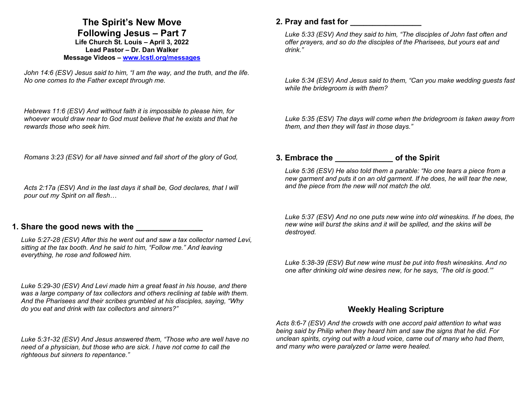# **The Spirit's New Move**

**Following Jesus – Part 7 Life Church St. Louis** *–* **April 3, 2022 Lead Pastor – Dr. Dan Walker Message Videos – www.lcstl.org/messages**

*John 14:6 (ESV) Jesus said to him, "I am the way, and the truth, and the life. No one comes to the Father except through me.* 

*Hebrews 11:6 (ESV) And without faith it is impossible to please him, for whoever would draw near to God must believe that he exists and that he rewards those who seek him.* 

*Romans 3:23 (ESV) for all have sinned and fall short of the glory of God,* 

*Acts 2:17a (ESV) And in the last days it shall be, God declares, that I will pour out my Spirit on all flesh…* 

### **1. Share the good news with the**

*Luke 5:27-28 (ESV) After this he went out and saw a tax collector named Levi, sitting at the tax booth. And he said to him, "Follow me." And leaving everything, he rose and followed him.* 

*Luke 5:29-30 (ESV) And Levi made him a great feast in his house, and there was a large company of tax collectors and others reclining at table with them. And the Pharisees and their scribes grumbled at his disciples, saying, "Why do you eat and drink with tax collectors and sinners?"* 

*Luke 5:31-32 (ESV) And Jesus answered them, "Those who are well have no need of a physician, but those who are sick. I have not come to call the righteous but sinners to repentance."* 

## **2. Pray and fast for \_\_\_\_\_\_\_\_\_\_\_\_\_\_\_\_**

*Luke 5:33 (ESV) And they said to him, "The disciples of John fast often and offer prayers, and so do the disciples of the Pharisees, but yours eat and drink."* 

*Luke 5:34 (ESV) And Jesus said to them, "Can you make wedding guests fast while the bridegroom is with them?* 

*Luke 5:35 (ESV) The days will come when the bridegroom is taken away from them, and then they will fast in those days."* 

### **3. Embrace the \_\_\_\_\_\_\_\_\_\_\_\_\_ of the Spirit**

*Luke 5:36 (ESV) He also told them a parable: "No one tears a piece from a new garment and puts it on an old garment. If he does, he will tear the new, and the piece from the new will not match the old.* 

*Luke 5:37 (ESV) And no one puts new wine into old wineskins. If he does, the new wine will burst the skins and it will be spilled, and the skins will be destroyed.* 

*Luke 5:38-39 (ESV) But new wine must be put into fresh wineskins. And no one after drinking old wine desires new, for he says, 'The old is good.'"* 

### **Weekly Healing Scripture**

*Acts 8:6-7 (ESV) And the crowds with one accord paid attention to what was being said by Philip when they heard him and saw the signs that he did. For unclean spirits, crying out with a loud voice, came out of many who had them, and many who were paralyzed or lame were healed.*